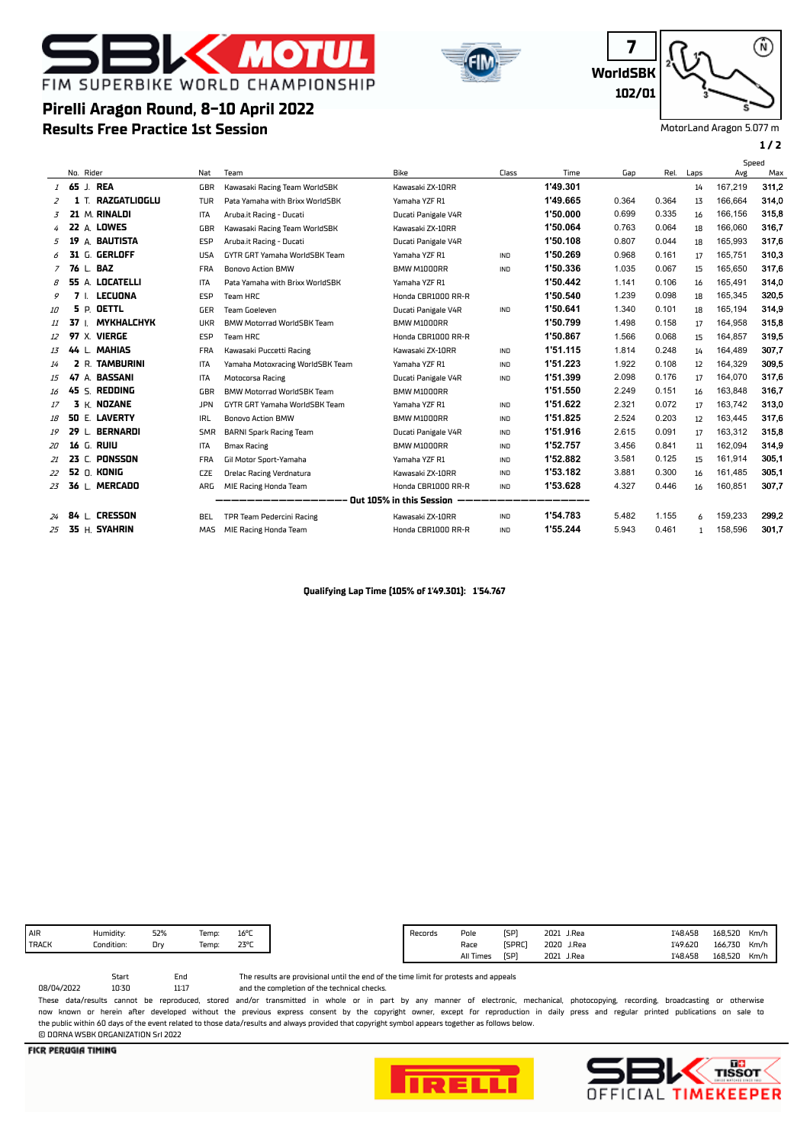## **MOT** FIM SUPERBIKE WORLD CHAMPIONSHIP

**Results Free Practice 1st Session**

**Pirelli Aragon Round, 8-10 April 2022**





MotorLand Aragon 5.077 m

## **1 / 2**

⋒

|    |                                                                |      |                    |            |                                   |                     |            |          |       |       |      | Speed   |       |
|----|----------------------------------------------------------------|------|--------------------|------------|-----------------------------------|---------------------|------------|----------|-------|-------|------|---------|-------|
|    | No. Rider                                                      |      |                    | Nat        | Team                              | Bike                | Class      | Time     | Gap   | Rel.  | Laps | Avg     | Max   |
|    |                                                                |      | 1 65 J. REA        | GBR        | Kawasaki Racing Team WorldSBK     | Kawasaki ZX-10RR    |            | 1'49.301 |       |       | 14   | 167,219 | 311,2 |
| 2  |                                                                |      | 1 T. RAZGATLIOGLU  | <b>TUR</b> | Pata Yamaha with Brixx WorldSBK   | Yamaha YZF R1       |            | 1'49.665 | 0.364 | 0.364 | 13   | 166,664 | 314,0 |
| 3  |                                                                |      | 21 M. RINALDI      | <b>ITA</b> | Aruba.it Racing - Ducati          | Ducati Panigale V4R |            | 1'50.000 | 0.699 | 0.335 | 16   | 166,156 | 315,8 |
| 4  |                                                                |      | <b>22 A. LOWES</b> | GBR        | Kawasaki Racing Team WorldSBK     | Kawasaki ZX-10RR    |            | 1'50.064 | 0.763 | 0.064 | 18   | 166,060 | 316.7 |
| 5  | 19                                                             |      | A. BAUTISTA        | <b>ESP</b> | Aruba.it Racing - Ducati          | Ducati Panigale V4R |            | 1'50.108 | 0.807 | 0.044 | 18   | 165.993 | 317,6 |
| 6  |                                                                |      | 31 G. GERLOFF      | <b>USA</b> | GYTR GRT Yamaha WorldSBK Team     | Yamaha YZF R1       | IND        | 1'50.269 | 0.968 | 0.161 | 17   | 165,751 | 310,3 |
| 7  |                                                                |      | 76 L. BAZ          | <b>FRA</b> | <b>Bonovo Action BMW</b>          | BMW M1000RR         | IND        | 1'50.336 | 1.035 | 0.067 | 15   | 165,650 | 317,6 |
| 8  |                                                                |      | 55 A. LOCATELLI    | <b>ITA</b> | Pata Yamaha with Brixx WorldSBK   | Yamaha YZF R1       |            | 1'50.442 | 1.141 | 0.106 | 16   | 165.491 | 314,0 |
| 9  |                                                                |      | 7 I. LECUONA       | <b>ESP</b> | Team HRC                          | Honda CBR1000 RR-R  |            | 1'50.540 | 1.239 | 0.098 | 18   | 165.345 | 320,5 |
| 10 |                                                                | 5 P. | <b>OETTL</b>       | GER        | Team Goeleven                     | Ducati Panigale V4R | <b>IND</b> | 1'50.641 | 1.340 | 0.101 | 18   | 165,194 | 314,9 |
| 11 | 37 L                                                           |      | <b>MYKHALCHYK</b>  | <b>UKR</b> | <b>BMW Motorrad WorldSBK Team</b> | BMW M1000RR         |            | 1'50.799 | 1.498 | 0.158 | 17   | 164,958 | 315,8 |
| 12 |                                                                |      | 97 X. VIERGE       | <b>ESP</b> | Team HRC                          | Honda CBR1000 RR-R  |            | 1'50.867 | 1.566 | 0.068 | 15   | 164,857 | 319.5 |
| 13 |                                                                |      | 44 L. MAHIAS       | <b>FRA</b> | Kawasaki Puccetti Racing          | Kawasaki ZX-10RR    | <b>IND</b> | 1'51.115 | 1.814 | 0.248 | 14   | 164.489 | 307,7 |
| 14 |                                                                |      | 2 R. TAMBURINI     | ITA        | Yamaha Motoxracing WorldSBK Team  | Yamaha YZF R1       | IND        | 1'51.223 | 1.922 | 0.108 | 12   | 164,329 | 309,5 |
| 15 |                                                                |      | 47 A. BASSANI      | ITA        | Motocorsa Racing                  | Ducati Panigale V4R | IND        | 1'51.399 | 2.098 | 0.176 | 17   | 164,070 | 317,6 |
| 16 |                                                                |      | 45 S. REDDING      | GBR        | BMW Motorrad WorldSBK Team        | BMW M1000RR         |            | 1'51.550 | 2.249 | 0.151 | 16   | 163,848 | 316,7 |
| 17 |                                                                |      | 3 K. NOZANE        | <b>JPN</b> | GYTR GRT Yamaha WorldSBK Team     | Yamaha YZF R1       | IND        | 1'51.622 | 2.321 | 0.072 | 17   | 163,742 | 313,0 |
| 18 | 50                                                             |      | E. LAVERTY         | IRL        | <b>Bonovo Action BMW</b>          | BMW M1000RR         | <b>IND</b> | 1'51.825 | 2.524 | 0.203 | 12   | 163.445 | 317,6 |
| 19 | 29                                                             |      | L. BERNARDI        | <b>SMR</b> | <b>BARNI Spark Racing Team</b>    | Ducati Panigale V4R | <b>IND</b> | 1'51.916 | 2.615 | 0.091 | 17   | 163.312 | 315,8 |
| 20 | 16                                                             |      | G. RUIU            | <b>ITA</b> | <b>Bmax Racing</b>                | BMW M1000RR         | IND        | 1'52.757 | 3.456 | 0.841 | 11   | 162,094 | 314,9 |
| 21 | 23                                                             |      | C. PONSSON         | <b>FRA</b> | Gil Motor Sport-Yamaha            | Yamaha YZF R1       | IND        | 1'52.882 | 3.581 | 0.125 | 15   | 161,914 | 305.1 |
| 22 |                                                                |      | <b>52 O. KONIG</b> | <b>CZE</b> | <b>Orelac Racing Verdnatura</b>   | Kawasaki ZX-10RR    | IND        | 1'53.182 | 3.881 | 0.300 | 16   | 161,485 | 305.1 |
| 23 |                                                                |      | 36 L. MERCADO      | <b>ARG</b> | MIE Racing Honda Team             | Honda CBR1000 RR-R  | IND        | 1'53.628 | 4.327 | 0.446 | 16   | 160,851 | 307,7 |
|    | -————————————— Out 105% in this Session<br>_______<br>________ |      |                    |            |                                   |                     |            |          |       |       |      |         |       |
| 24 |                                                                |      | 84 L CRESSON       | BEL.       | TPR Team Pedercini Racing         | Kawasaki ZX-10RR    | IND        | 1'54.783 | 5.482 | 1.155 | 6    | 159,233 | 299,2 |
| 25 |                                                                |      | 35 H. SYAHRIN      | MAS        | MIE Racing Honda Team             | Honda CBR1000 RR-R  | IND        | 1'55.244 | 5.943 | 0.461 | 1    | 158,596 | 301,7 |

**Qualifying Lap Time (105% of 1'49.301): 1'54.767**

| 16°C<br>Humidity:<br>52%<br>Temp: |
|-----------------------------------|
|                                   |
|                                   |

Start End<br>10:30 11:17

and the completion of the technical checks. The results are provisional until the end of the time limit for protests and appeals

11:17 08/04/2022 These data/results cannot be reproduced, stored and/or transmitted in whole or in part by any manner of electronic, mechanical, photocopying, recording, broadcasting or otherwise now known or herein afer developed without the previous express consent by the copyright owner, except for reproduction in daily press and regular printed publications on sale to the public within 60 days of the event related to those data/results and always provided that copyright symbol appears together as follows below. © DORNA WSBK ORGANIZATION Srl 2022

**FICR PERUGIA TIMING**